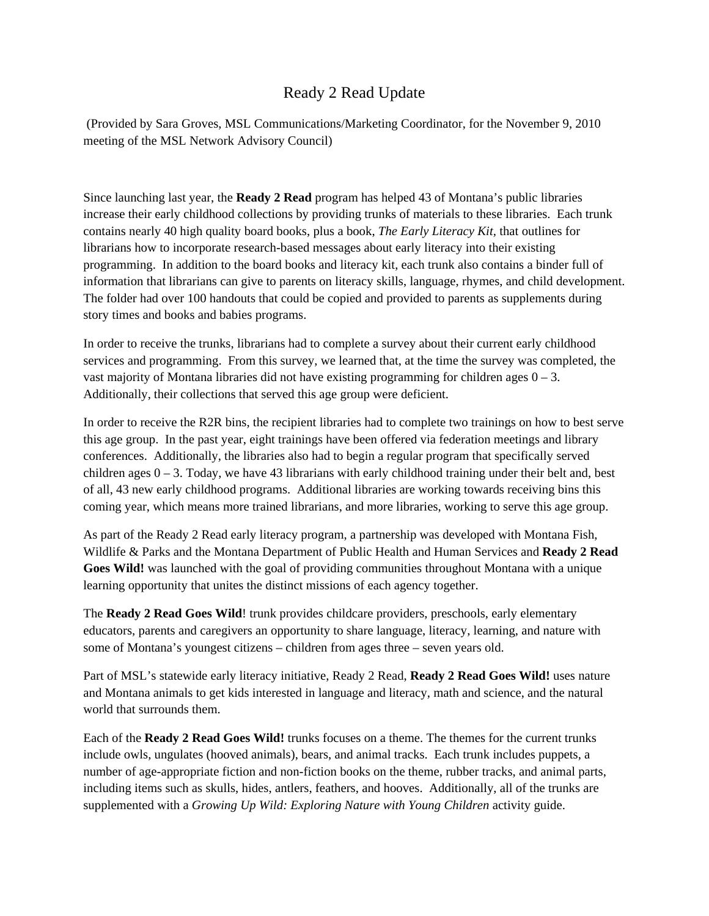## Ready 2 Read Update

 (Provided by Sara Groves, MSL Communications/Marketing Coordinator, for the November 9, 2010 meeting of the MSL Network Advisory Council)

Since launching last year, the **Ready 2 Read** program has helped 43 of Montana's public libraries increase their early childhood collections by providing trunks of materials to these libraries. Each trunk contains nearly 40 high quality board books, plus a book, *The Early Literacy Kit,* that outlines for librarians how to incorporate research-based messages about early literacy into their existing programming. In addition to the board books and literacy kit, each trunk also contains a binder full of information that librarians can give to parents on literacy skills, language, rhymes, and child development. The folder had over 100 handouts that could be copied and provided to parents as supplements during story times and books and babies programs.

In order to receive the trunks, librarians had to complete a survey about their current early childhood services and programming. From this survey, we learned that, at the time the survey was completed, the vast majority of Montana libraries did not have existing programming for children ages  $0 - 3$ . Additionally, their collections that served this age group were deficient.

In order to receive the R2R bins, the recipient libraries had to complete two trainings on how to best serve this age group. In the past year, eight trainings have been offered via federation meetings and library conferences. Additionally, the libraries also had to begin a regular program that specifically served children ages  $0 - 3$ . Today, we have 43 librarians with early childhood training under their belt and, best of all, 43 new early childhood programs. Additional libraries are working towards receiving bins this coming year, which means more trained librarians, and more libraries, working to serve this age group.

As part of the Ready 2 Read early literacy program, a partnership was developed with Montana Fish, Wildlife & Parks and the Montana Department of Public Health and Human Services and **Ready 2 Read Goes Wild!** was launched with the goal of providing communities throughout Montana with a unique learning opportunity that unites the distinct missions of each agency together.

The **Ready 2 Read Goes Wild**! trunk provides childcare providers, preschools, early elementary educators, parents and caregivers an opportunity to share language, literacy, learning, and nature with some of Montana's youngest citizens – children from ages three – seven years old.

Part of MSL's statewide early literacy initiative, Ready 2 Read, **Ready 2 Read Goes Wild!** uses nature and Montana animals to get kids interested in language and literacy, math and science, and the natural world that surrounds them.

Each of the **Ready 2 Read Goes Wild!** trunks focuses on a theme. The themes for the current trunks include owls, ungulates (hooved animals), bears, and animal tracks. Each trunk includes puppets, a number of age-appropriate fiction and non-fiction books on the theme, rubber tracks, and animal parts, including items such as skulls, hides, antlers, feathers, and hooves. Additionally, all of the trunks are supplemented with a *Growing Up Wild: Exploring Nature with Young Children* activity guide.